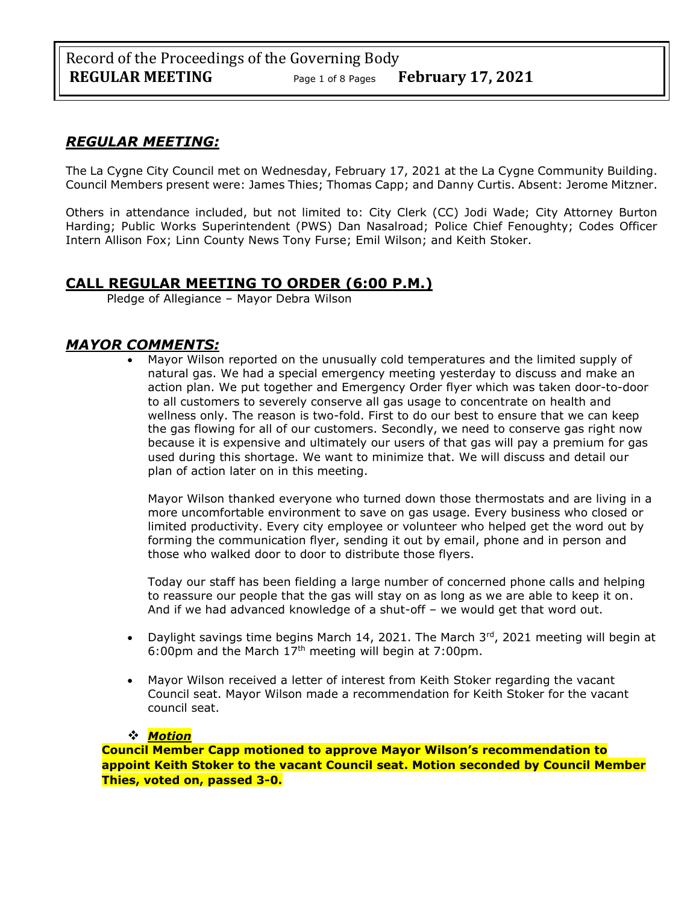# *REGULAR MEETING:*

The La Cygne City Council met on Wednesday, February 17, 2021 at the La Cygne Community Building. Council Members present were: James Thies; Thomas Capp; and Danny Curtis. Absent: Jerome Mitzner.

Others in attendance included, but not limited to: City Clerk (CC) Jodi Wade; City Attorney Burton Harding; Public Works Superintendent (PWS) Dan Nasalroad; Police Chief Fenoughty; Codes Officer Intern Allison Fox; Linn County News Tony Furse; Emil Wilson; and Keith Stoker.

# **CALL REGULAR MEETING TO ORDER (6:00 P.M.)**

Pledge of Allegiance – Mayor Debra Wilson

## *MAYOR COMMENTS:*

• Mayor Wilson reported on the unusually cold temperatures and the limited supply of natural gas. We had a special emergency meeting yesterday to discuss and make an action plan. We put together and Emergency Order flyer which was taken door-to-door to all customers to severely conserve all gas usage to concentrate on health and wellness only. The reason is two-fold. First to do our best to ensure that we can keep the gas flowing for all of our customers. Secondly, we need to conserve gas right now because it is expensive and ultimately our users of that gas will pay a premium for gas used during this shortage. We want to minimize that. We will discuss and detail our plan of action later on in this meeting.

Mayor Wilson thanked everyone who turned down those thermostats and are living in a more uncomfortable environment to save on gas usage. Every business who closed or limited productivity. Every city employee or volunteer who helped get the word out by forming the communication flyer, sending it out by email, phone and in person and those who walked door to door to distribute those flyers.

Today our staff has been fielding a large number of concerned phone calls and helping to reassure our people that the gas will stay on as long as we are able to keep it on. And if we had advanced knowledge of a shut-off – we would get that word out.

- Daylight savings time begins March 14, 2021. The March  $3^{rd}$ , 2021 meeting will begin at 6:00pm and the March  $17<sup>th</sup>$  meeting will begin at 7:00pm.
- Mayor Wilson received a letter of interest from Keith Stoker regarding the vacant Council seat. Mayor Wilson made a recommendation for Keith Stoker for the vacant council seat.

## ❖ *Motion*

**Council Member Capp motioned to approve Mayor Wilson's recommendation to appoint Keith Stoker to the vacant Council seat. Motion seconded by Council Member Thies, voted on, passed 3-0.**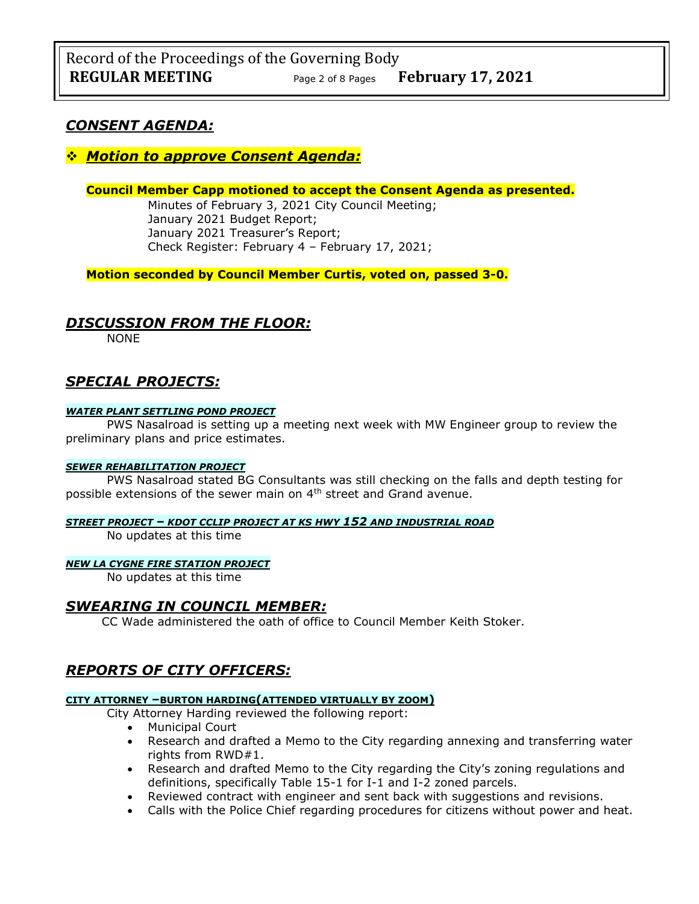## *CONSENT AGENDA:*

## ❖ *Motion to approve Consent Agenda:*

**Council Member Capp motioned to accept the Consent Agenda as presented.**

Minutes of February 3, 2021 City Council Meeting; January 2021 Budget Report; January 2021 Treasurer's Report; Check Register: February 4 – February 17, 2021;

**Motion seconded by Council Member Curtis, voted on, passed 3-0.** 

## *DISCUSSION FROM THE FLOOR:*

NONE

# *SPECIAL PROJECTS:*

### *WATER PLANT SETTLING POND PROJECT*

PWS Nasalroad is setting up a meeting next week with MW Engineer group to review the preliminary plans and price estimates.

### *SEWER REHABILITATION PROJECT*

PWS Nasalroad stated BG Consultants was still checking on the falls and depth testing for possible extensions of the sewer main on 4<sup>th</sup> street and Grand avenue.

### *STREET PROJECT – KDOT CCLIP PROJECT AT KS HWY 152 AND INDUSTRIAL ROAD*

No updates at this time

### *NEW LA CYGNE FIRE STATION PROJECT*

No updates at this time

## *SWEARING IN COUNCIL MEMBER:*

CC Wade administered the oath of office to Council Member Keith Stoker.

# *REPORTS OF CITY OFFICERS:*

### **CITY ATTORNEY –BURTON HARDING(ATTENDED VIRTUALLY BY ZOOM)**

City Attorney Harding reviewed the following report:

- Municipal Court
- Research and drafted a Memo to the City regarding annexing and transferring water rights from RWD#1.
- Research and drafted Memo to the City regarding the City's zoning regulations and definitions, specifically Table 15-1 for I-1 and I-2 zoned parcels.
- Reviewed contract with engineer and sent back with suggestions and revisions.
- Calls with the Police Chief regarding procedures for citizens without power and heat.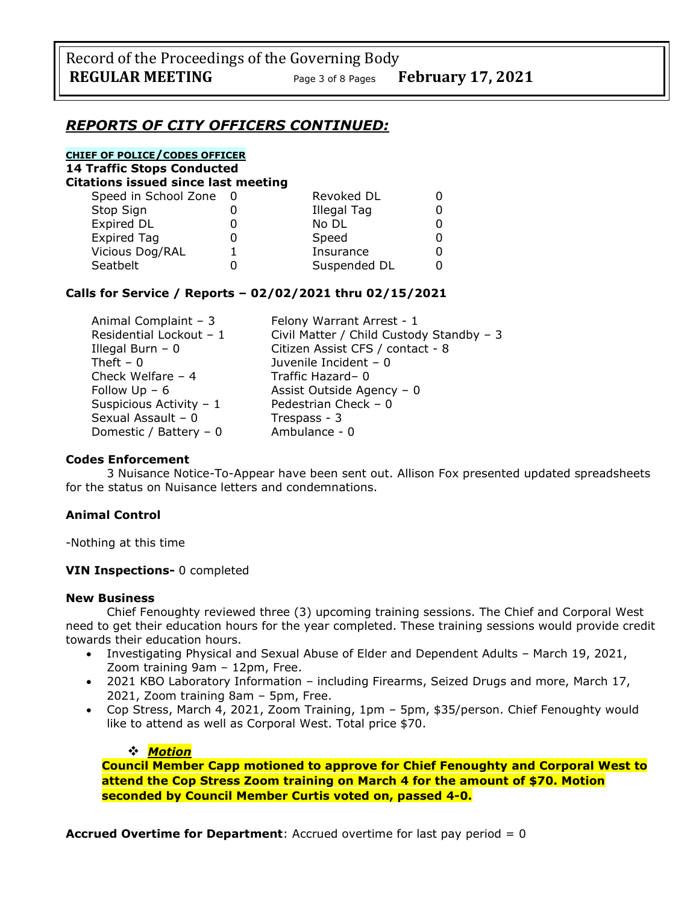## *REPORTS OF CITY OFFICERS CONTINUED:*

## **CHIEF OF POLICE/CODES OFFICER**

**14 Traffic Stops Conducted**

| Citations issued since last meeting |  |
|-------------------------------------|--|
|-------------------------------------|--|

| Speed in School Zone | Revoked DL   |  |
|----------------------|--------------|--|
| Stop Sign            | Illegal Tag  |  |
| Expired DL           | No DL        |  |
| <b>Expired Tag</b>   | Speed        |  |
| Vicious Dog/RAL      | Insurance    |  |
| Seatbelt             | Suspended DL |  |

## **Calls for Service / Reports – 02/02/2021 thru 02/15/2021**

| Animal Complaint - 3     | Felony Warrant Arrest - 1                |
|--------------------------|------------------------------------------|
| Residential Lockout - 1  | Civil Matter / Child Custody Standby - 3 |
| Illegal Burn $-0$        | Citizen Assist CFS / contact - 8         |
| Theft $-0$               | Juvenile Incident - 0                    |
| Check Welfare $-4$       | Traffic Hazard-0                         |
| Follow $Up - 6$          | Assist Outside Agency - 0                |
| Suspicious Activity - 1  | Pedestrian Check - 0                     |
| Sexual Assault - 0       | Trespass - 3                             |
| Domestic / Battery - $0$ | Ambulance - 0                            |

### **Codes Enforcement**

3 Nuisance Notice-To-Appear have been sent out. Allison Fox presented updated spreadsheets for the status on Nuisance letters and condemnations.

## **Animal Control**

-Nothing at this time

### **VIN Inspections-** 0 completed

### **New Business**

Chief Fenoughty reviewed three (3) upcoming training sessions. The Chief and Corporal West need to get their education hours for the year completed. These training sessions would provide credit towards their education hours.

- Investigating Physical and Sexual Abuse of Elder and Dependent Adults March 19, 2021, Zoom training 9am – 12pm, Free.
- 2021 KBO Laboratory Information including Firearms, Seized Drugs and more, March 17, 2021, Zoom training 8am – 5pm, Free.
- Cop Stress, March 4, 2021, Zoom Training, 1pm 5pm, \$35/person. Chief Fenoughty would like to attend as well as Corporal West. Total price \$70.

### ❖ *Motion*

**Council Member Capp motioned to approve for Chief Fenoughty and Corporal West to attend the Cop Stress Zoom training on March 4 for the amount of \$70. Motion seconded by Council Member Curtis voted on, passed 4-0.**

**Accrued Overtime for Department**: Accrued overtime for last pay period = 0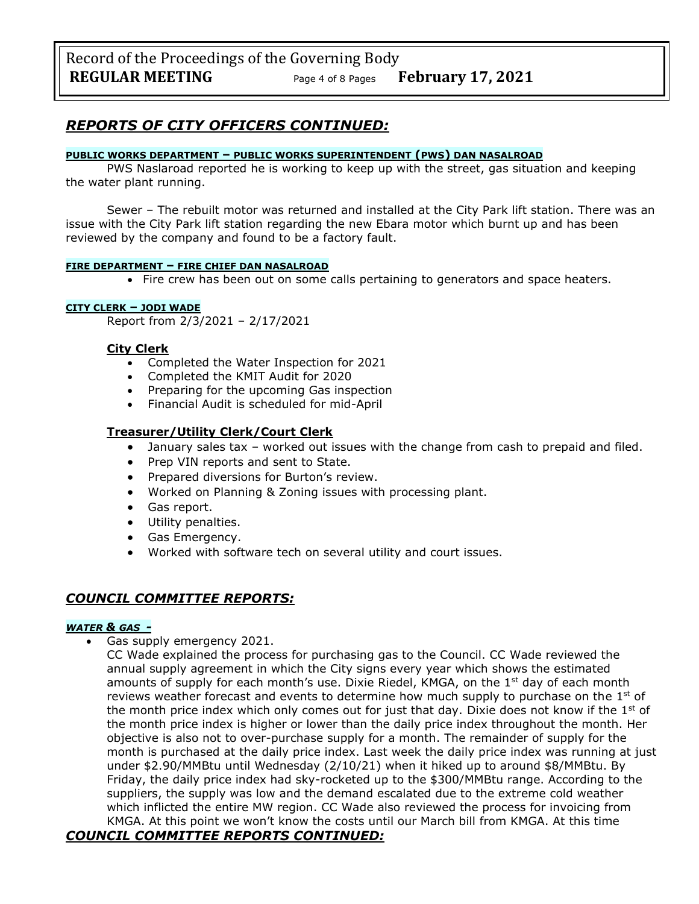# *REPORTS OF CITY OFFICERS CONTINUED:*

### **PUBLIC WORKS DEPARTMENT – PUBLIC WORKS SUPERINTENDENT (PWS) DAN NASALROAD**

PWS Naslaroad reported he is working to keep up with the street, gas situation and keeping the water plant running.

Sewer – The rebuilt motor was returned and installed at the City Park lift station. There was an issue with the City Park lift station regarding the new Ebara motor which burnt up and has been reviewed by the company and found to be a factory fault.

### **FIRE DEPARTMENT – FIRE CHIEF DAN NASALROAD**

• Fire crew has been out on some calls pertaining to generators and space heaters.

### **CITY CLERK – JODI WADE**

Report from 2/3/2021 – 2/17/2021

### **City Clerk**

- Completed the Water Inspection for 2021
- Completed the KMIT Audit for 2020
- Preparing for the upcoming Gas inspection
- Financial Audit is scheduled for mid-April

## **Treasurer/Utility Clerk/Court Clerk**

- January sales tax worked out issues with the change from cash to prepaid and filed.
- Prep VIN reports and sent to State.
- Prepared diversions for Burton's review.
- Worked on Planning & Zoning issues with processing plant.
- Gas report.
- Utility penalties.
- Gas Emergency.
- Worked with software tech on several utility and court issues.

## *COUNCIL COMMITTEE REPORTS:*

### *WATER & GAS -*

• Gas supply emergency 2021.

CC Wade explained the process for purchasing gas to the Council. CC Wade reviewed the annual supply agreement in which the City signs every year which shows the estimated amounts of supply for each month's use. Dixie Riedel, KMGA, on the  $1<sup>st</sup>$  day of each month reviews weather forecast and events to determine how much supply to purchase on the  $1<sup>st</sup>$  of the month price index which only comes out for just that day. Dixie does not know if the  $1<sup>st</sup>$  of the month price index is higher or lower than the daily price index throughout the month. Her objective is also not to over-purchase supply for a month. The remainder of supply for the month is purchased at the daily price index. Last week the daily price index was running at just under \$2.90/MMBtu until Wednesday (2/10/21) when it hiked up to around \$8/MMBtu. By Friday, the daily price index had sky-rocketed up to the \$300/MMBtu range. According to the suppliers, the supply was low and the demand escalated due to the extreme cold weather which inflicted the entire MW region. CC Wade also reviewed the process for invoicing from KMGA. At this point we won't know the costs until our March bill from KMGA. At this time

## *COUNCIL COMMITTEE REPORTS CONTINUED:*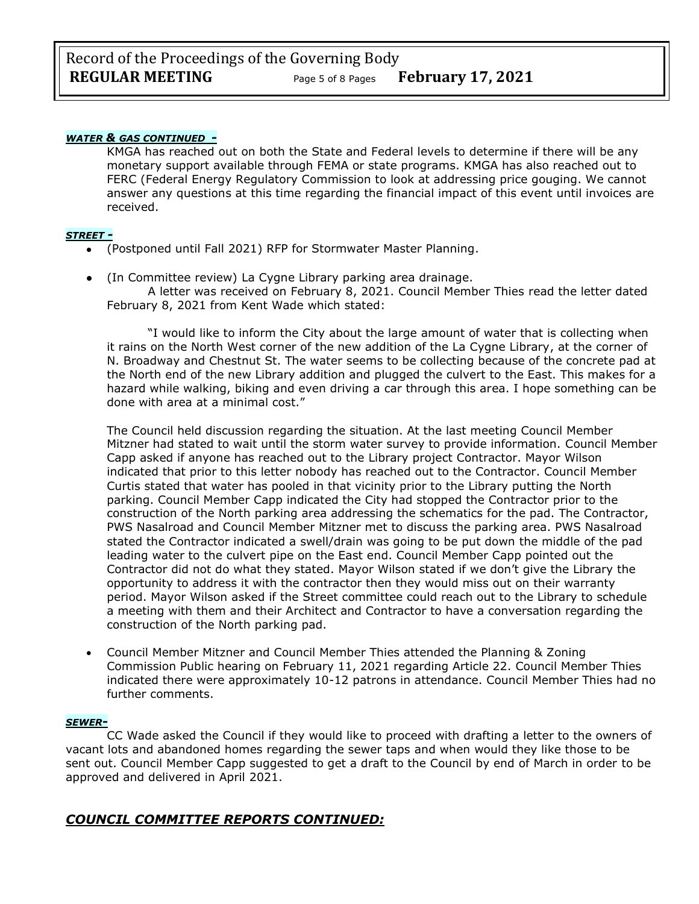## *WATER & GAS CONTINUED -*

KMGA has reached out on both the State and Federal levels to determine if there will be any monetary support available through FEMA or state programs. KMGA has also reached out to FERC (Federal Energy Regulatory Commission to look at addressing price gouging. We cannot answer any questions at this time regarding the financial impact of this event until invoices are received.

#### *STREET -*

- (Postponed until Fall 2021) RFP for Stormwater Master Planning.
- (In Committee review) La Cygne Library parking area drainage.

A letter was received on February 8, 2021. Council Member Thies read the letter dated February 8, 2021 from Kent Wade which stated:

"I would like to inform the City about the large amount of water that is collecting when it rains on the North West corner of the new addition of the La Cygne Library, at the corner of N. Broadway and Chestnut St. The water seems to be collecting because of the concrete pad at the North end of the new Library addition and plugged the culvert to the East. This makes for a hazard while walking, biking and even driving a car through this area. I hope something can be done with area at a minimal cost."

The Council held discussion regarding the situation. At the last meeting Council Member Mitzner had stated to wait until the storm water survey to provide information. Council Member Capp asked if anyone has reached out to the Library project Contractor. Mayor Wilson indicated that prior to this letter nobody has reached out to the Contractor. Council Member Curtis stated that water has pooled in that vicinity prior to the Library putting the North parking. Council Member Capp indicated the City had stopped the Contractor prior to the construction of the North parking area addressing the schematics for the pad. The Contractor, PWS Nasalroad and Council Member Mitzner met to discuss the parking area. PWS Nasalroad stated the Contractor indicated a swell/drain was going to be put down the middle of the pad leading water to the culvert pipe on the East end. Council Member Capp pointed out the Contractor did not do what they stated. Mayor Wilson stated if we don't give the Library the opportunity to address it with the contractor then they would miss out on their warranty period. Mayor Wilson asked if the Street committee could reach out to the Library to schedule a meeting with them and their Architect and Contractor to have a conversation regarding the construction of the North parking pad.

• Council Member Mitzner and Council Member Thies attended the Planning & Zoning Commission Public hearing on February 11, 2021 regarding Article 22. Council Member Thies indicated there were approximately 10-12 patrons in attendance. Council Member Thies had no further comments.

#### *SEWER-*

CC Wade asked the Council if they would like to proceed with drafting a letter to the owners of vacant lots and abandoned homes regarding the sewer taps and when would they like those to be sent out. Council Member Capp suggested to get a draft to the Council by end of March in order to be approved and delivered in April 2021.

## *COUNCIL COMMITTEE REPORTS CONTINUED:*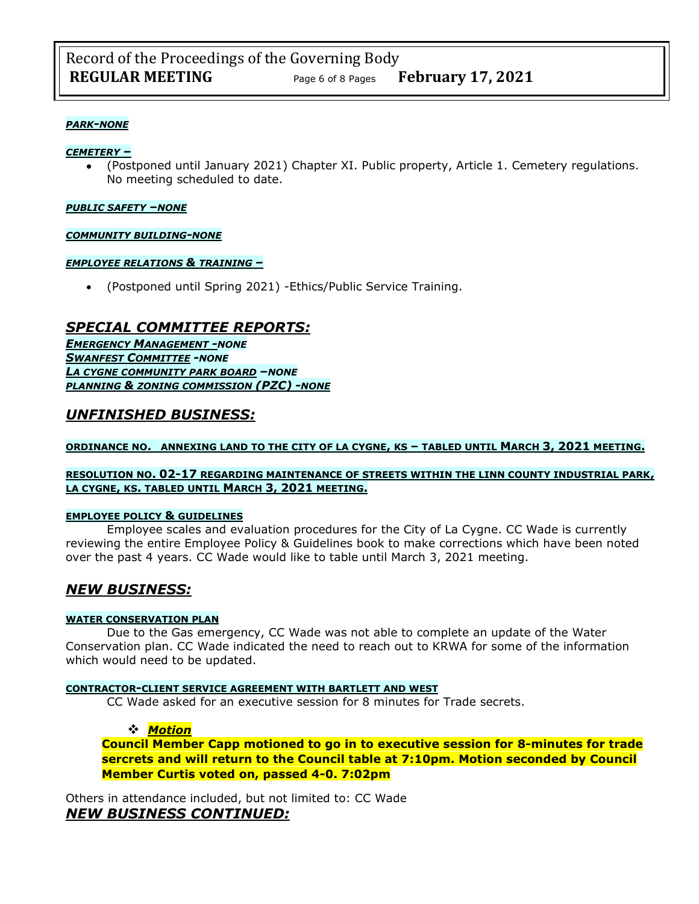### *PARK-NONE*

#### *CEMETERY –*

• (Postponed until January 2021) Chapter XI. Public property, Article 1. Cemetery regulations. No meeting scheduled to date.

#### *PUBLIC SAFETY –NONE*

#### *COMMUNITY BUILDING-NONE*

#### *EMPLOYEE RELATIONS & TRAINING –*

• (Postponed until Spring 2021) -Ethics/Public Service Training.

## *SPECIAL COMMITTEE REPORTS:*

*EMERGENCY MANAGEMENT -NONE SWANFEST COMMITTEE -NONE LA CYGNE COMMUNITY PARK BOARD –NONE PLANNING & ZONING COMMISSION (PZC) -NONE*

## *UNFINISHED BUSINESS:*

### **ORDINANCE NO. ANNEXING LAND TO THE CITY OF LA CYGNE, KS – TABLED UNTIL MARCH 3, 2021 MEETING.**

### **RESOLUTION NO. 02-17 REGARDING MAINTENANCE OF STREETS WITHIN THE LINN COUNTY INDUSTRIAL PARK, LA CYGNE, KS. TABLED UNTIL MARCH 3, 2021 MEETING.**

### **EMPLOYEE POLICY & GUIDELINES**

Employee scales and evaluation procedures for the City of La Cygne. CC Wade is currently reviewing the entire Employee Policy & Guidelines book to make corrections which have been noted over the past 4 years. CC Wade would like to table until March 3, 2021 meeting.

## *NEW BUSINESS:*

### **WATER CONSERVATION PLAN**

Due to the Gas emergency, CC Wade was not able to complete an update of the Water Conservation plan. CC Wade indicated the need to reach out to KRWA for some of the information which would need to be updated.

#### **CONTRACTOR-CLIENT SERVICE AGREEMENT WITH BARTLETT AND WEST**

CC Wade asked for an executive session for 8 minutes for Trade secrets.

### ❖ *Motion*

**Council Member Capp motioned to go in to executive session for 8-minutes for trade sercrets and will return to the Council table at 7:10pm. Motion seconded by Council Member Curtis voted on, passed 4-0. 7:02pm** 

Others in attendance included, but not limited to: CC Wade *NEW BUSINESS CONTINUED:*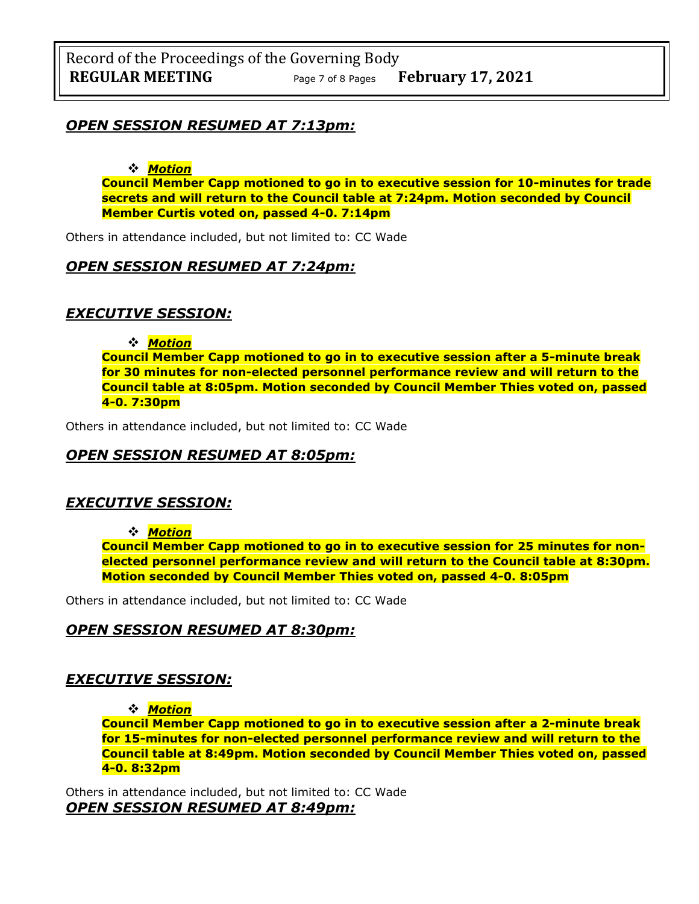## *OPEN SESSION RESUMED AT 7:13pm:*

❖ *Motion* 

**Council Member Capp motioned to go in to executive session for 10-minutes for trade secrets and will return to the Council table at 7:24pm. Motion seconded by Council Member Curtis voted on, passed 4-0. 7:14pm** 

Others in attendance included, but not limited to: CC Wade

## *OPEN SESSION RESUMED AT 7:24pm:*

## *EXECUTIVE SESSION:*

❖ *Motion* 

**Council Member Capp motioned to go in to executive session after a 5-minute break for 30 minutes for non-elected personnel performance review and will return to the Council table at 8:05pm. Motion seconded by Council Member Thies voted on, passed 4-0. 7:30pm** 

Others in attendance included, but not limited to: CC Wade

## *OPEN SESSION RESUMED AT 8:05pm:*

## *EXECUTIVE SESSION:*

❖ *Motion* 

**Council Member Capp motioned to go in to executive session for 25 minutes for nonelected personnel performance review and will return to the Council table at 8:30pm. Motion seconded by Council Member Thies voted on, passed 4-0. 8:05pm** 

Others in attendance included, but not limited to: CC Wade

## *OPEN SESSION RESUMED AT 8:30pm:*

## *EXECUTIVE SESSION:*

❖ *Motion* 

**Council Member Capp motioned to go in to executive session after a 2-minute break for 15-minutes for non-elected personnel performance review and will return to the Council table at 8:49pm. Motion seconded by Council Member Thies voted on, passed 4-0. 8:32pm** 

Others in attendance included, but not limited to: CC Wade *OPEN SESSION RESUMED AT 8:49pm:*